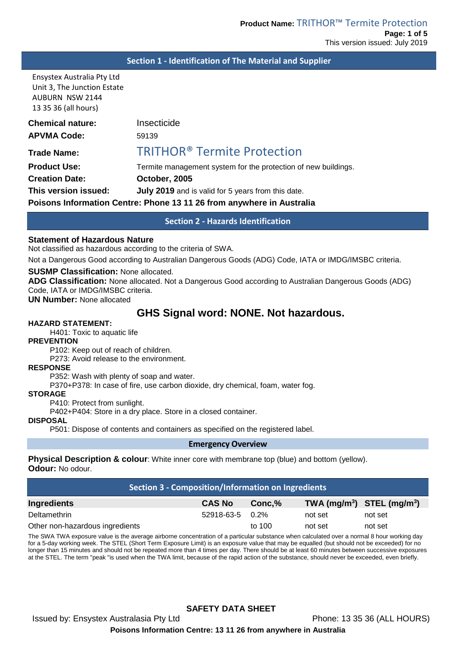#### **Section 1 - Identification of The Material and Supplier**

Ensystex Australia Pty Ltd Unit 3, The Junction Estate AUBURN NSW 2144 13 35 36 (all hours)

| <b>Chemical nature:</b>                                               | Insecticide                                                    |  |
|-----------------------------------------------------------------------|----------------------------------------------------------------|--|
| <b>APVMA Code:</b>                                                    | 59139                                                          |  |
| <b>Trade Name:</b>                                                    | <b>TRITHOR® Termite Protection</b>                             |  |
| <b>Product Use:</b>                                                   | Termite management system for the protection of new buildings. |  |
| <b>Creation Date:</b>                                                 | October, 2005                                                  |  |
| This version issued:                                                  | July 2019 and is valid for 5 years from this date.             |  |
| Poisons Information Centre: Phone 13 11 26 from anywhere in Australia |                                                                |  |

## **Section 2 - Hazards Identification**

#### **Statement of Hazardous Nature**

Not classified as hazardous according to the criteria of SWA.

Not a Dangerous Good according to Australian Dangerous Goods (ADG) Code, IATA or IMDG/IMSBC criteria.

#### **SUSMP Classification:** None allocated.

**ADG Classification:** None allocated. Not a Dangerous Good according to Australian Dangerous Goods (ADG) Code, IATA or IMDG/IMSBC criteria.

**UN Number:** None allocated

# **GHS Signal word: NONE. Not hazardous.**

## **HAZARD STATEMENT:**

H401: Toxic to aquatic life

#### **PREVENTION**

P102: Keep out of reach of children.

P273: Avoid release to the environment.

#### **RESPONSE**

P352: Wash with plenty of soap and water.

P370+P378: In case of fire, use carbon dioxide, dry chemical, foam, water fog.

#### **STORAGE**

P410: Protect from sunlight.

P402+P404: Store in a dry place. Store in a closed container.

#### **DISPOSAL**

P501: Dispose of contents and containers as specified on the registered label.

#### **Emergency Overview**

**Physical Description & colour**: White inner core with membrane top (blue) and bottom (yellow). **Odour:** No odour.

| <b>Section 3 - Composition/Information on Ingredients</b> |               |         |                                                    |         |
|-----------------------------------------------------------|---------------|---------|----------------------------------------------------|---------|
| Ingredients                                               | <b>CAS No</b> | Conc.%  | TWA (mg/m <sup>3</sup> ) STEL (mg/m <sup>3</sup> ) |         |
| Deltamethrin                                              | 52918-63-5    | $0.2\%$ | not set                                            | not set |
| Other non-hazardous ingredients                           |               | to 100  | not set                                            | not set |

The SWA TWA exposure value is the average airborne concentration of a particular substance when calculated over a normal 8 hour working day for a 5-day working week. The STEL (Short Term Exposure Limit) is an exposure value that may be equalled (but should not be exceeded) for no longer than 15 minutes and should not be repeated more than 4 times per day. There should be at least 60 minutes between successive exposures at the STEL. The term "peak "is used when the TWA limit, because of the rapid action of the substance, should never be exceeded, even briefly.

# **SAFETY DATA SHEET**

Issued by: Ensystex Australasia Pty Ltd Phone: 13 35 36 (ALL HOURS)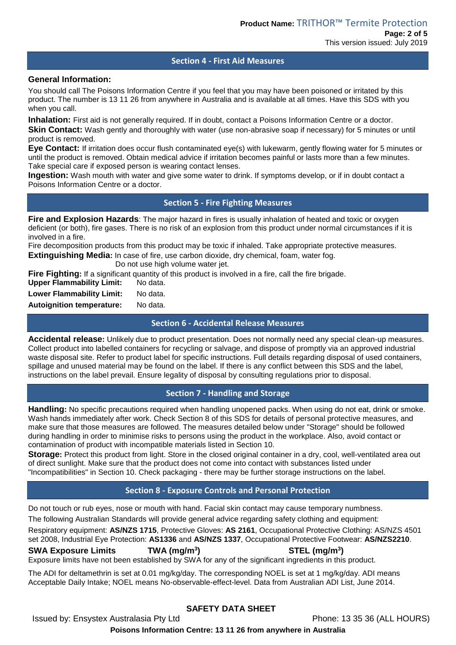## **Section 4 - First Aid Measures**

## **General Information:**

You should call The Poisons Information Centre if you feel that you may have been poisoned or irritated by this product. The number is 13 11 26 from anywhere in Australia and is available at all times. Have this SDS with you when you call.

**Inhalation:** First aid is not generally required. If in doubt, contact a Poisons Information Centre or a doctor. **Skin Contact:** Wash gently and thoroughly with water (use non-abrasive soap if necessary) for 5 minutes or until product is removed.

**Eye Contact:** If irritation does occur flush contaminated eye(s) with lukewarm, gently flowing water for 5 minutes or until the product is removed. Obtain medical advice if irritation becomes painful or lasts more than a few minutes. Take special care if exposed person is wearing contact lenses.

**Ingestion:** Wash mouth with water and give some water to drink. If symptoms develop, or if in doubt contact a Poisons Information Centre or a doctor.

**Section 5 - Fire Fighting Measures**

**Fire and Explosion Hazards**: The major hazard in fires is usually inhalation of heated and toxic or oxygen deficient (or both), fire gases. There is no risk of an explosion from this product under normal circumstances if it is involved in a fire.

Fire decomposition products from this product may be toxic if inhaled. Take appropriate protective measures. **Extinguishing Media:** In case of fire, use carbon dioxide, dry chemical, foam, water fog.

Do not use high volume water jet.

**Fire Fighting:** If a significant quantity of this product is involved in a fire, call the fire brigade.

| <b>Upper Flammability Limit:</b> | No data. |
|----------------------------------|----------|
| <b>Lower Flammability Limit:</b> | No data. |

**Autoignition temperature:** No data.

**Section 6 - Accidental Release Measures**

**Accidental release:** Unlikely due to product presentation. Does not normally need any special clean-up measures. Collect product into labelled containers for recycling or salvage, and dispose of promptly via an approved industrial waste disposal site. Refer to product label for specific instructions. Full details regarding disposal of used containers, spillage and unused material may be found on the label. If there is any conflict between this SDS and the label, instructions on the label prevail. Ensure legality of disposal by consulting regulations prior to disposal.

# **Section 7 - Handling and Storage**

**Handling:** No specific precautions required when handling unopened packs. When using do not eat, drink or smoke. Wash hands immediately after work. Check Section 8 of this SDS for details of personal protective measures, and make sure that those measures are followed. The measures detailed below under "Storage" should be followed during handling in order to minimise risks to persons using the product in the workplace. Also, avoid contact or contamination of product with incompatible materials listed in Section 10.

**Storage:** Protect this product from light. Store in the closed original container in a dry, cool, well-ventilated area out of direct sunlight. Make sure that the product does not come into contact with substances listed under "Incompatibilities" in Section 10. Check packaging - there may be further storage instructions on the label.

# **Section 8 - Exposure Controls and Personal Protection**

Do not touch or rub eyes, nose or mouth with hand. Facial skin contact may cause temporary numbness.

The following Australian Standards will provide general advice regarding safety clothing and equipment:

Respiratory equipment: **AS/NZS 1715**, Protective Gloves: **AS 2161**, Occupational Protective Clothing: AS/NZS 4501 set 2008, Industrial Eye Protection: **AS1336** and **AS/NZS 1337**, Occupational Protective Footwear: **AS/NZS2210**.

## **SWA Exposure Limits TWA (mg/m3**

**) STEL (mg/m3 )**

Exposure limits have not been established by SWA for any of the significant ingredients in this product.

The ADI for deltamethrin is set at 0.01 mg/kg/day. The corresponding NOEL is set at 1 mg/kg/day. ADI means Acceptable Daily Intake; NOEL means No-observable-effect-level. Data from Australian ADI List, June 2014.

# **SAFETY DATA SHEET**

Issued by: Ensystex Australasia Pty Ltd Phone: 13 35 36 (ALL HOURS)

**Poisons Information Centre: 13 11 26 from anywhere in Australia**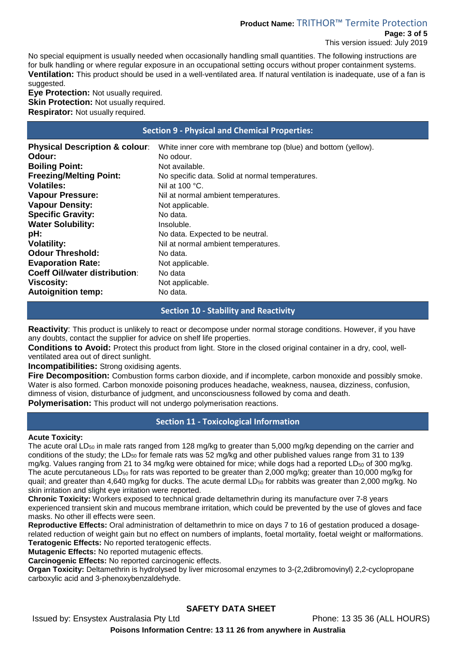# **Product Name:** TRITHOR™ Termite Protection

**Page: 3 of 5** This version issued: July 2019

No special equipment is usually needed when occasionally handling small quantities. The following instructions are for bulk handling or where regular exposure in an occupational setting occurs without proper containment systems. **Ventilation:** This product should be used in a well-ventilated area. If natural ventilation is inadequate, use of a fan is suggested.

**Eye Protection:** Not usually required. **Skin Protection: Not usually required. Respirator:** Not usually required.

## **Section 9 - Physical and Chemical Properties:**

| <b>Physical Description &amp; colour:</b> | White inner core with membrane top (blue) and bottom (yellow). |
|-------------------------------------------|----------------------------------------------------------------|
| Odour:                                    | No odour.                                                      |
| <b>Boiling Point:</b>                     | Not available.                                                 |
| <b>Freezing/Melting Point:</b>            | No specific data. Solid at normal temperatures.                |
| <b>Volatiles:</b>                         | Nil at $100 °C$ .                                              |
| <b>Vapour Pressure:</b>                   | Nil at normal ambient temperatures.                            |
| <b>Vapour Density:</b>                    | Not applicable.                                                |
| <b>Specific Gravity:</b>                  | No data.                                                       |
| <b>Water Solubility:</b>                  | Insoluble.                                                     |
| pH:                                       | No data. Expected to be neutral.                               |
| <b>Volatility:</b>                        | Nil at normal ambient temperatures.                            |
| <b>Odour Threshold:</b>                   | No data.                                                       |
| <b>Evaporation Rate:</b>                  | Not applicable.                                                |
| <b>Coeff Oil/water distribution:</b>      | No data                                                        |
| <b>Viscosity:</b>                         | Not applicable.                                                |
| <b>Autoignition temp:</b>                 | No data.                                                       |

## **Section 10 - Stability and Reactivity**

**Reactivity**: This product is unlikely to react or decompose under normal storage conditions. However, if you have any doubts, contact the supplier for advice on shelf life properties.

**Conditions to Avoid:** Protect this product from light. Store in the closed original container in a dry, cool, wellventilated area out of direct sunlight.

**Incompatibilities:** Strong oxidising agents.

**Fire Decomposition:** Combustion forms carbon dioxide, and if incomplete, carbon monoxide and possibly smoke. Water is also formed. Carbon monoxide poisoning produces headache, weakness, nausea, dizziness, confusion, dimness of vision, disturbance of judgment, and unconsciousness followed by coma and death.

**Polymerisation:** This product will not undergo polymerisation reactions.

# **Section 11 - Toxicological Information**

## **Acute Toxicity:**

The acute oral LD<sub>50</sub> in male rats ranged from 128 mg/kg to greater than 5,000 mg/kg depending on the carrier and conditions of the study; the LD $_{50}$  for female rats was 52 mg/kg and other published values range from 31 to 139 mg/kg. Values ranging from 21 to 34 mg/kg were obtained for mice; while dogs had a reported LD<sub>50</sub> of 300 mg/kg. The acute percutaneous LD $_{50}$  for rats was reported to be greater than 2,000 mg/kg; greater than 10,000 mg/kg for quail; and greater than 4,640 mg/kg for ducks. The acute dermal LD<sub>50</sub> for rabbits was greater than 2,000 mg/kg. No skin irritation and slight eye irritation were reported.

**Chronic Toxicity:** Workers exposed to technical grade deltamethrin during its manufacture over 7-8 years experienced transient skin and mucous membrane irritation, which could be prevented by the use of gloves and face masks. No other ill effects were seen.

**Reproductive Effects:** Oral administration of deltamethrin to mice on days 7 to 16 of gestation produced a dosagerelated reduction of weight gain but no effect on numbers of implants, foetal mortality, foetal weight or malformations. **Teratogenic Effects:** No reported teratogenic effects.

**Mutagenic Effects:** No reported mutagenic effects.

**Carcinogenic Effects:** No reported carcinogenic effects.

**Organ Toxicity:** Deltamethrin is hydrolysed by liver microsomal enzymes to 3-(2,2dibromovinyl) 2,2-cyclopropane carboxylic acid and 3-phenoxybenzaldehyde.

# **SAFETY DATA SHEET**

Issued by: Ensystex Australasia Pty Ltd Phone: 13 35 36 (ALL HOURS)

**Poisons Information Centre: 13 11 26 from anywhere in Australia**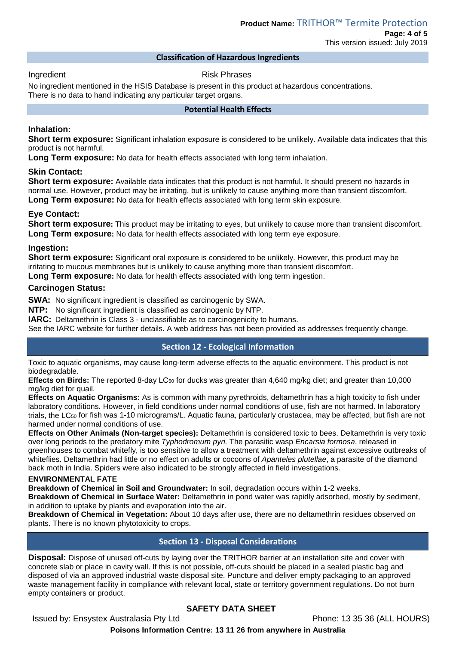This version issued: July 2019

## **Classification of Hazardous Ingredients**

Ingredient **Risk Phrases** 

No ingredient mentioned in the HSIS Database is present in this product at hazardous concentrations. There is no data to hand indicating any particular target organs.

## **Potential Health Effects**

## **Inhalation:**

**Short term exposure:** Significant inhalation exposure is considered to be unlikely. Available data indicates that this product is not harmful.

**Long Term exposure:** No data for health effects associated with long term inhalation.

### **Skin Contact:**

**Short term exposure:** Available data indicates that this product is not harmful. It should present no hazards in normal use. However, product may be irritating, but is unlikely to cause anything more than transient discomfort. **Long Term exposure:** No data for health effects associated with long term skin exposure.

### **Eye Contact:**

**Short term exposure:** This product may be irritating to eyes, but unlikely to cause more than transient discomfort. **Long Term exposure:** No data for health effects associated with long term eye exposure.

### **Ingestion:**

**Short term exposure:** Significant oral exposure is considered to be unlikely. However, this product may be irritating to mucous membranes but is unlikely to cause anything more than transient discomfort. **Long Term exposure:** No data for health effects associated with long term ingestion.

## **Carcinogen Status:**

**SWA:** No significant ingredient is classified as carcinogenic by SWA.

**NTP:** No significant ingredient is classified as carcinogenic by NTP.

**IARC:** Deltamethrin is Class 3 - unclassifiable as to carcinogenicity to humans.

See the IARC website for further details. A web address has not been provided as addresses frequently change.

## **Section 12 - Ecological Information**

Toxic to aquatic organisms, may cause long-term adverse effects to the aquatic environment. This product is not biodegradable.

**Effects on Birds:** The reported 8-day LC<sub>50</sub> for ducks was greater than 4,640 mg/kg diet; and greater than 10,000 mg/kg diet for quail.

**Effects on Aquatic Organisms:** As is common with many pyrethroids, deltamethrin has a high toxicity to fish under laboratory conditions. However, in field conditions under normal conditions of use, fish are not harmed. In laboratory trials, the LC $_{50}$  for fish was 1-10 micrograms/L. Aquatic fauna, particularly crustacea, may be affected, but fish are not harmed under normal conditions of use.

**Effects on Other Animals (Non-target species):** Deltamethrin is considered toxic to bees. Deltamethrin is very toxic over long periods to the predatory mite *Typhodromum pyri.* The parasitic wasp *Encarsia formosa*, released in greenhouses to combat whitefly, is too sensitive to allow a treatment with deltamethrin against excessive outbreaks of whiteflies. Deltamethrin had little or no effect on adults or cocoons of *Apanteles plutellae*, a parasite of the diamond back moth in India. Spiders were also indicated to be strongly affected in field investigations.

#### **ENVIRONMENTAL FATE**

**Breakdown of Chemical in Soil and Groundwater:** In soil, degradation occurs within 1-2 weeks.

**Breakdown of Chemical in Surface Water:** Deltamethrin in pond water was rapidly adsorbed, mostly by sediment, in addition to uptake by plants and evaporation into the air.

**Breakdown of Chemical in Vegetation:** About 10 days after use, there are no deltamethrin residues observed on plants. There is no known phytotoxicity to crops.

# **Section 13 - Disposal Considerations**

**Disposal:** Dispose of unused off-cuts by laying over the TRITHOR barrier at an installation site and cover with concrete slab or place in cavity wall. If this is not possible, off-cuts should be placed in a sealed plastic bag and disposed of via an approved industrial waste disposal site. Puncture and deliver empty packaging to an approved waste management facility in compliance with relevant local, state or territory government regulations. Do not burn empty containers or product.

# **SAFETY DATA SHEET**

Issued by: Ensystex Australasia Pty Ltd Phone: 13 35 36 (ALL HOURS)

**Poisons Information Centre: 13 11 26 from anywhere in Australia**